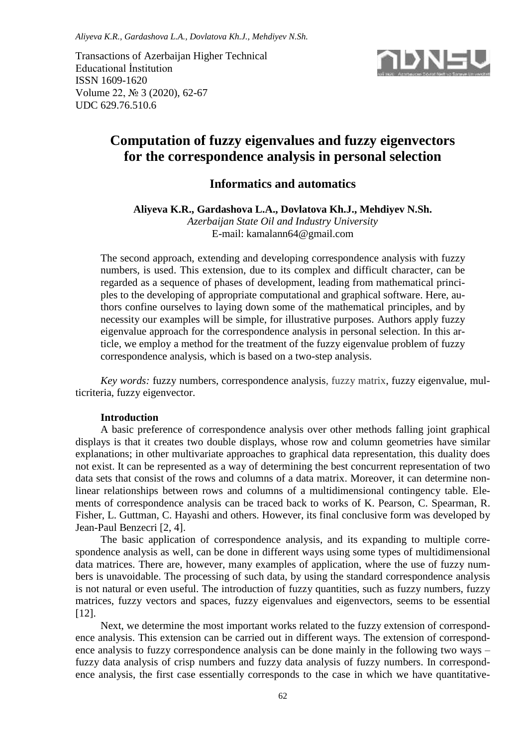Transactions of Azerbaijan Higher Technical Educational İnstitution ISSN 1609-1620 Volume 22, № 3 (2020), 62-67 UDC 629.76.510.6



# **Computation of fuzzy eigenvalues and fuzzy eigenvectors for the correspondence analysis in personal selection**

## **Informatics and automatics**

**Aliyeva K.R., Gardashova L.A., Dovlatova Kh.J., Mehdiyev N.Sh.**

*Azerbaijan State Oil and Industry University* E-mail: [kamalann64@gmail.com](mailto:kamalann64@gmail.com)

The second approach, extending and developing correspondence analysis with fuzzy numbers, is used. This extension, due to its complex and difficult character, can be regarded as a sequence of phases of development, leading from mathematical principles to the developing of appropriate computational and graphical software. Here, authors confine ourselves to laying down some of the mathematical principles, and by necessity our examples will be simple, for illustrative purposes. Authors apply fuzzy eigenvalue approach for the correspondence analysis in personal selection. In this article, we employ a method for the treatment of the fuzzy eigenvalue problem of fuzzy correspondence analysis, which is based on a two-step analysis.

*Key words:* fuzzy numbers, correspondence analysis, fuzzy matrix, fuzzy eigenvalue, multicriteria, fuzzy eigenvector.

## **Introduction**

A basic preference of correspondence analysis over other methods falling joint graphical displays is that it creates two double displays, whose row and column geometries have similar explanations; in other multivariate approaches to graphical data representation, this duality does not exist. It can be represented as a way of determining the best concurrent representation of two data sets that consist of the rows and columns of a data matrix. Moreover, it can determine nonlinear relationships between rows and columns of a multidimensional contingency table. Elements of correspondence analysis can be traced back to works of K. Pearson, C. Spearman, R. Fisher, L. Guttman, C. Hayashi and others. However, its final conclusive form was developed by Jean-Paul Benzecri [2, 4].

The basic application of correspondence analysis, and its expanding to multiple correspondence analysis as well, can be done in different ways using some types of multidimensional data matrices. There are, however, many examples of application, where the use of fuzzy numbers is unavoidable. The processing of such data, by using the standard correspondence analysis is not natural or even useful. The introduction of fuzzy quantities, such as fuzzy numbers, fuzzy matrices, fuzzy vectors and spaces, fuzzy eigenvalues and eigenvectors, seems to be essential [12].

Next, we determine the most important works related to the fuzzy extension of correspondence analysis. This extension can be carried out in different ways. The extension of correspondence analysis to fuzzy correspondence analysis can be done mainly in the following two ways – fuzzy data analysis of crisp numbers and fuzzy data analysis of fuzzy numbers. In correspondence analysis, the first case essentially corresponds to the case in which we have quantitative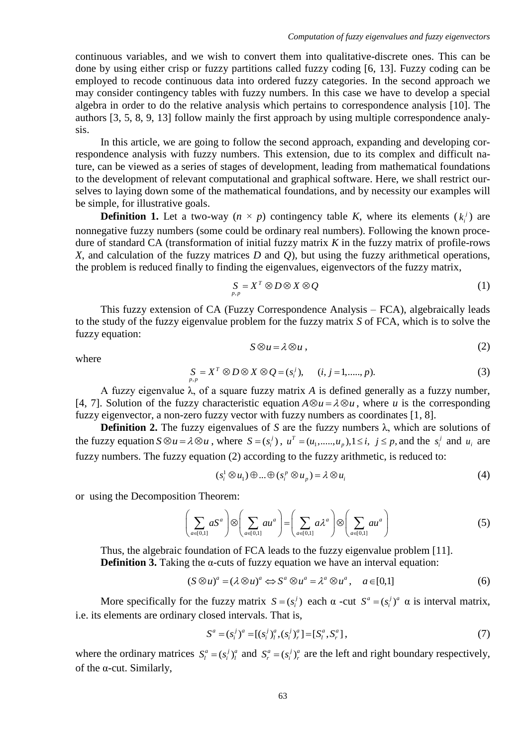continuous variables, and we wish to convert them into qualitative-discrete ones. This can be done by using either crisp or fuzzy partitions called fuzzy coding [6, 13]. Fuzzy coding can be employed to recode continuous data into ordered fuzzy categories. In the second approach we may consider contingency tables with fuzzy numbers. In this case we have to develop a special algebra in order to do the relative analysis which pertains to correspondence analysis [10]. The authors [3, 5, 8, 9, 13] follow mainly the first approach by using multiple correspondence analysis.

In this article, we are going to follow the second approach, expanding and developing correspondence analysis with fuzzy numbers. This extension, due to its complex and difficult nature, can be viewed as a series of stages of development, leading from mathematical foundations to the development of relevant computational and graphical software. Here, we shall restrict ourselves to laying down some of the mathematical foundations, and by necessity our examples will be simple, for illustrative goals.

**Definition 1.** Let a two-way  $(n \times p)$  contingency table *K*, where its elements  $(k_i^j)$  are nonnegative fuzzy numbers (some could be ordinary real numbers). Following the known procedure of standard CA (transformation of initial fuzzy matrix *K* in the fuzzy matrix of profile-rows *X*, and calculation of the fuzzy matrices *D* and *Q*), but using the fuzzy arithmetical operations, the problem is reduced finally to finding the eigenvalues, eigenvectors of the fuzzy matrix,

$$
\underset{p,p}{S} = X^T \otimes D \otimes X \otimes Q \tag{1}
$$

This fuzzy extension of CA (Fuzzy Correspondence Analysis – FCA), algebraically leads to the study of the fuzzy eigenvalue problem for the fuzzy matrix *S* of FCA, which is to solve the fuzzy equation:

$$
f_{\rm{max}}
$$

$$
S \otimes u = \lambda \otimes u \;, \tag{2}
$$

where

$$
S_{p,p} = X^T \otimes D \otimes X \otimes Q = (s_i^j), \quad (i, j = 1, \dots, p).
$$
 (3)

A fuzzy eigenvalue  $\lambda$ , of a square fuzzy matrix A is defined generally as a fuzzy number, [4, 7]. Solution of the fuzzy characteristic equation  $A \otimes u = \lambda \otimes u$ , where *u* is the corresponding fuzzy eigenvector, a non-zero fuzzy vector with fuzzy numbers as coordinates [1, 8].

**Definition 2.** The fuzzy eigenvalues of *S* are the fuzzy numbers  $\lambda$ , which are solutions of the fuzzy equation  $S \otimes u = \lambda \otimes u$ , where  $S = (s_i^j)$ ,  $u^T = (u_1, ..., u_p), 1 \le i, j \le p$ , and the  $s_i^j$  and  $u_i$  are fuzzy numbers. The fuzzy equation (2) according to the fuzzy arithmetic, is reduced to:

$$
(s_i^1 \otimes u_1) \oplus \dots \oplus (s_i^p \otimes u_p) = \lambda \otimes u_i
$$
 (4)

or using the Decomposition Theorem:

ion Theorem:  
\n
$$
\left(\sum_{a\in[0,1]} aS^a\right) \otimes \left(\sum_{a\in[0,1]} a u^a\right) = \left(\sum_{a\in[0,1]} a\lambda^a\right) \otimes \left(\sum_{a\in[0,1]} a u^a\right)
$$
\n(5)

Thus, the algebraic foundation of FCA leads to the fuzzy eigenvalue problem [11]. **Definition 3.** Taking the α-cuts of fuzzy equation we have an interval equation:<br>  $(S \otimes u)^a = (\lambda \otimes u)^a \Leftrightarrow S^a \otimes u^a = \lambda^a \otimes u^a, \quad a \in [0,1]$  (6)

$$
(S \otimes u)^a = (\lambda \otimes u)^a \Leftrightarrow S^a \otimes u^a = \lambda^a \otimes u^a, \quad a \in [0,1]
$$
 (6)

More specifically for the fuzzy matrix  $S = (s_i^j)$  each  $\alpha$  -cut  $S^a = (s_i^j)^a$   $\alpha$  is interval matrix, i.e. its elements are ordinary closed intervals. That is,

$$
S^{a} = (s_{i}^{j})^{a} = [(s_{i}^{j})_{i}^{a}, (s_{i}^{j})_{r}^{a}] = [S_{i}^{a}, S_{r}^{a}],
$$
\n(7)

where the ordinary matrices  $S_i^a = (s_i^j)_i^a$  and  $S_i^a = (s_i^j)_i^a$  are the left and right boundary respectively, of the  $\alpha$ -cut. Similarly,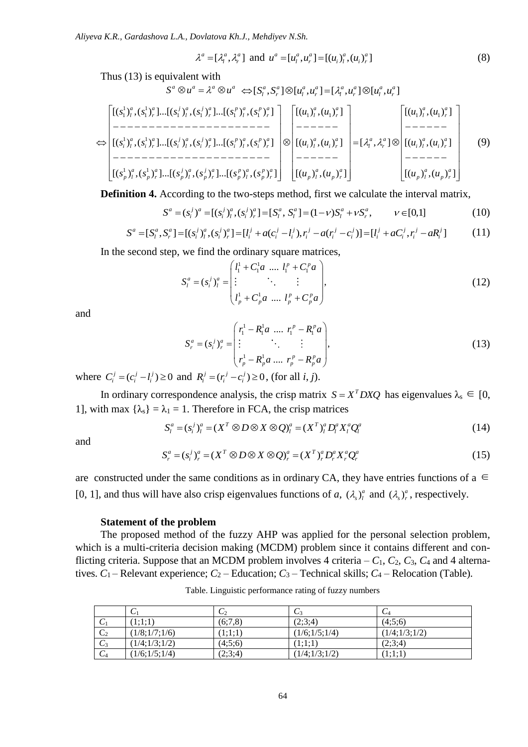*Aliyeva K.R., Gardashova L.A., Dovlatova Kh.J., Mehdiyev N.Sh.*

$$
\lambda^{a} = [\lambda_{l}^{a}, \lambda_{r}^{a}] \text{ and } u^{a} = [u_{l}^{a}, u_{r}^{a}] = [(u_{i})_{l}^{a}, (u_{i})_{r}^{a}]
$$
\n(8)

quivalent with  
\n
$$
S^a \otimes u^a = \lambda^a \otimes u^a \iff [S_i^a, S_i^a] \otimes [u_i^a, u_r^a] = [\lambda_i^a, u_r^a] \otimes [u_i^a, u_r^a]
$$

Thus (13) is equivalent with  
\n
$$
S^{a} \otimes u^{a} = \lambda^{a} \otimes u^{a} \Leftrightarrow [S_{l}^{a}, S_{r}^{a}] \otimes [u_{l}^{a}, u_{r}^{a}] = [\lambda_{l}^{a}, u_{r}^{a}] \otimes [u_{l}^{a}, u_{r}^{a}]
$$
\n
$$
\left[\begin{matrix}\n[(s_{1}^{1})_{l}^{a}, (s_{1}^{1})_{r}^{a}]\dots[(s_{1}^{j})_{l}^{a}, (s_{1}^{j})_{r}^{a}]\dots[(s_{1}^{p})_{l}^{a}, (s_{1}^{p})_{r}^{a}]\dots[(s_{1}^{p})_{l}^{a}, (s_{1}^{p})_{r}^{a}]\n\end{matrix}\right] \left[\begin{matrix}\n[(u_{1})_{l}^{a}, (u_{1})_{r}^{a}]\n\end{matrix}\right] \left[\begin{matrix}\n[(u_{1})_{l}^{a}, (u_{1})_{r}^{a}]\n\end{matrix}\right] \left[\begin{matrix}\n[(u_{1})_{l}^{a}, (u_{1})_{r}^{a}]\n\end{matrix}\right] \left[\begin{matrix}\n[(u_{1})_{l}^{a}, (u_{1})_{r}^{a}]\n\end{matrix}\right] \left[\begin{matrix}\n[(u_{1})_{l}^{a}, (u_{1})_{r}^{a}]\n\end{matrix}\right] \left[\begin{matrix}\n[(u_{1})_{l}^{a}, (u_{1})_{r}^{a}]\n\end{matrix}\right] \left[\begin{matrix}\n[(u_{1})_{l}^{a}, (u_{1})_{r}^{a}]\n\end{matrix}\right] \left[\begin{matrix}\n[(u_{1})_{l}^{a}, (u_{1})_{r}^{a}]\n\end{matrix}\right] \left[\begin{matrix}\n[(u_{1})_{l}^{a}, (u_{1})_{r}^{a}]\n\end{matrix}\right] \left[\begin{matrix}\n[(u_{1})_{l}^{a}, (u_{1})_{r}^{a}]\n\end{matrix}\right] \left[\begin{matrix}\n[(u_{1})_{l}^{a}, (u_{1})_{r}^{a}]\n\end{matrix}\right] \left[\begin{matrix}\n[(u_{1})_{l}^{a}, (u_{1})_{r}^{a}]\n\end{matrix}\right] \left[\begin{matrix}\n[(u_{1})_{l}^{a}, (u_{1})_{r}^{a}]\n\end{matrix}\right] \
$$

**Definition 4.** According to the two-steps method, first we calculate the interval matrix,

$$
\begin{aligned}\n\text{nition 4. According to the two-steps method, first we calculate the interval matrix,} \\
S^a &= (s_i^j)^a = [(s_i^j)_i^a, (s_i^j)_r^a] = [S_i^a, S_i^a] = (1 - v)S_i^a + vS_r^a, \qquad v \in [0,1]\n\end{aligned}\n\tag{10}
$$

**Definition 4.** According to the two-steps method, first we calculate the interval matrix,  
\n
$$
S^{a} = (s_{i}^{j})^{a} = [(s_{i}^{j})_{i}^{a}, (s_{i}^{j})_{r}^{a}] = [S_{i}^{a}, S_{i}^{a}] = (1 - v)S_{i}^{a} + vS_{r}^{a}, \qquad v \in [0,1]
$$
\n
$$
S^{a} = [S_{i}^{a}, S_{r}^{a}] = [(s_{i}^{j})_{i}^{a}, (s_{i}^{j})_{r}^{a}] = [l_{i}^{j} + a(c_{i}^{j} - l_{i}^{j}), r_{i}^{j} - a(r_{i}^{j} - c_{i}^{j})] = [l_{i}^{j} + aC_{i}^{j}, r_{i}^{j} - aR_{i}^{j}] \qquad (11)
$$

In the second step, we find the ordinary square matrices,

we find the ordinary square matrices,  
\n
$$
S_{l}^{a} = (s_{i}^{j})_{l}^{a} = \begin{pmatrix} l_{1}^{1} + C_{1}^{1}a \ \dots \ l_{1}^{p} + C_{1}^{p}a \\ \vdots \ \vdots \ \vdots \ \vdots \ \vdots \\ l_{p}^{1} + C_{p}^{1}a \ \dots \ l_{p}^{p} + C_{p}^{p}a \end{pmatrix},
$$
\n(12)

and

$$
S_r^a = (s_i^j)_r^a = \begin{pmatrix} r_1^1 - R_1^1 a & \dots & r_1^p - R_1^p a \\ \vdots & \ddots & \vdots \\ r_p^1 - R_p^1 a & \dots & r_p^p - R_p^p a \end{pmatrix},
$$
 (13)

where  $C_i^j = (c_i^j - l_i^j) \ge 0$  and  $R_i^j = (r_i^j - c_i^j) \ge 0$ , (for all *i*, *j*).

In ordinary correspondence analysis, the crisp matrix  $S = X^T D X Q$  has eigenvalues  $\lambda_s \in [0, 1]$ 1], with max  $\{\lambda_s\} = \lambda_1 = 1$ . Therefore in FCA, the crisp matrices<br>  $S_i^a = (s_i^j)_i^a = (X^T \otimes D \otimes X \otimes Q)_i^a = (X^T)_i^a D_i^a X_i^a Q_i^a$  (14)

$$
S_l^a = (s_i^j)_l^a = (X^T \otimes D \otimes X \otimes Q)_l^a = (X^T)_l^a D_l^a X_l^a Q_l^a \tag{14}
$$

and

and  
\n
$$
S_r^a = (s_i^j)_r^a = (X^T \otimes D \otimes X \otimes Q)_r^a = (X^T)_r^a D_r^a X_r^a Q_r^a
$$
\n(15)

are constructed under the same conditions as in ordinary CA, they have entries functions of a  $∈$ [0, 1], and thus will have also crisp eigenvalues functions of *a*,  $(\lambda_s)_i^a$  and  $(\lambda_s)_i^a$ , respectively.

#### **Statement of the problem**

The proposed method of the fuzzy AHP was applied for the personal selection problem, which is a multi-criteria decision making (MCDM) problem since it contains different and conflicting criteria. Suppose that an MCDM problem involves 4 criteria  $- C_1$ ,  $C_2$ ,  $C_3$ ,  $C_4$  and 4 alternatives.  $C_1$  – Relevant experience;  $C_2$  – Education;  $C_3$  – Technical skills;  $C_4$  – Relocation (Table).

|                | U             | $\mathcal{C}_2$ | $\mathsf{C}^3$ | $\mathit{C}_4$ |
|----------------|---------------|-----------------|----------------|----------------|
| $\mathsf{C}_1$ | (1:1:1)       | (6;7,8)         | (2:3:4)        | (4:5:6)        |
| C <sub>2</sub> | (1/8;1/7;1/6) | (1;1;1)         | (1/6;1/5;1/4)  | (1/4;1/3;1/2)  |
| $C_3$          | (1/4;1/3;1/2) | (4:5:6)         | (1;1;1)        | (2;3;4)        |
| C <sub>4</sub> | (1/6;1/5;1/4) | (2;3;4)         | (1/4;1/3;1/2)  | (1;1;1)        |

Table. Linguistic performance rating of fuzzy numbers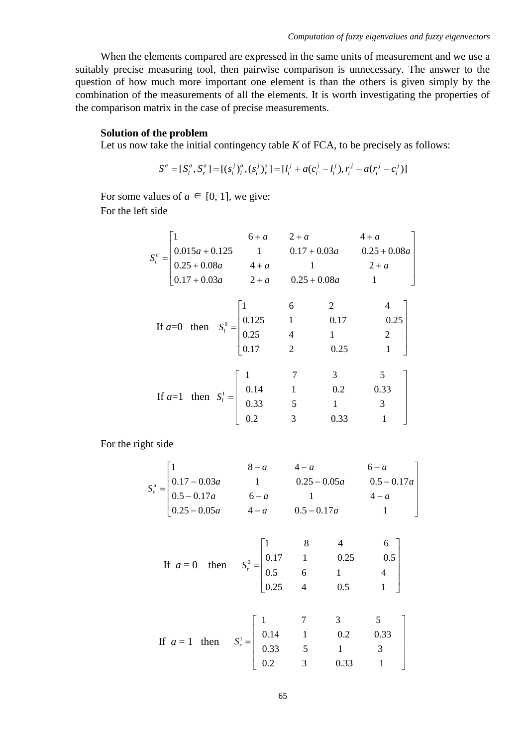When the elements compared are expressed in the same units of measurement and we use a suitably precise measuring tool, then pairwise comparison is unnecessary. The answer to the question of how much more important one element is than the others is given simply by the combination of the measurements of all the elements. It is worth investigating the properties of the comparison matrix in the case of precise measurements.

## **Solution of the problem**

Let us now take the initial contingency table *K* of FCA, to be precisely as follows:

the problem  
ke the initial contingency table K of FCA, to be precisely as follow  

$$
S^a = [S_i^a, S_r^a] = [(s_i^j)_i^a, (s_i^j)_r^a] = [l_i^j + a(c_i^j - l_i^j), r_i^j - a(r_i^j - c_i^j)]
$$

For some values of  $a \in [0, 1]$ , we give: For the left side

| side |  |                                                                                                                                           |             |                                                                                                                                                                              |  |       |  |  |
|------|--|-------------------------------------------------------------------------------------------------------------------------------------------|-------------|------------------------------------------------------------------------------------------------------------------------------------------------------------------------------|--|-------|--|--|
|      |  |                                                                                                                                           | $6+a$ $2+a$ |                                                                                                                                                                              |  | $4+a$ |  |  |
|      |  |                                                                                                                                           |             |                                                                                                                                                                              |  |       |  |  |
|      |  |                                                                                                                                           |             |                                                                                                                                                                              |  |       |  |  |
|      |  |                                                                                                                                           |             | $S_i^a = \begin{vmatrix} 1 & 6+a & 2+a & 4+a \\ 0.015a+0.125 & 1 & 0.17+0.03a & 0.25+0.08a \\ 0.25+0.08a & 4+a & 1 & 2+a \\ 0.17+0.03a & 2+a & 0.25+0.08a & 1 \end{vmatrix}$ |  |       |  |  |
|      |  | If $a=0$ then $S_l^0 = \begin{bmatrix} 1 & 6 & 2 & 4 \\ 0.125 & 1 & 0.17 & 0.25 \\ 0.25 & 4 & 1 & 2 \\ 0.17 & 2 & 0.25 & 1 \end{bmatrix}$ |             |                                                                                                                                                                              |  |       |  |  |
|      |  |                                                                                                                                           |             |                                                                                                                                                                              |  |       |  |  |
|      |  |                                                                                                                                           |             |                                                                                                                                                                              |  |       |  |  |
|      |  |                                                                                                                                           |             |                                                                                                                                                                              |  |       |  |  |
|      |  |                                                                                                                                           |             |                                                                                                                                                                              |  |       |  |  |
|      |  | If $a=1$ then $S_i^1 = \begin{bmatrix} 1 & 7 & 3 & 5 \\ 0.14 & 1 & 0.2 & 0.33 \\ 0.33 & 5 & 1 & 3 \\ 0.2 & 3 & 0.33 & 1 \end{bmatrix}$    |             |                                                                                                                                                                              |  |       |  |  |
|      |  |                                                                                                                                           |             |                                                                                                                                                                              |  |       |  |  |
|      |  |                                                                                                                                           |             |                                                                                                                                                                              |  |       |  |  |
|      |  |                                                                                                                                           |             |                                                                                                                                                                              |  |       |  |  |
|      |  |                                                                                                                                           |             |                                                                                                                                                                              |  |       |  |  |

For the right side

At side

\n
$$
S_r^a = \begin{bmatrix} 1 & 8-a & 4-a & 6-a \\ 0.17-0.03a & 1 & 0.25-0.05a & 0.5-0.17a \\ 0.5-0.17a & 6-a & 1 & 4-a \\ 0.25-0.05a & 4-a & 0.5-0.17a & 1 \end{bmatrix}
$$

If 
$$
a = 0
$$
 then  $S_r^0 = \begin{bmatrix} 1 & 8 & 4 & 6 \ 0.17 & 1 & 0.25 & 0.5 \ 0.5 & 6 & 1 & 4 \ 0.25 & 4 & 0.5 & 1 \end{bmatrix}$ 

If 
$$
a = 1
$$
 then  $S_r^1 = \begin{bmatrix} 1 & 7 & 3 & 5 \\ 0.14 & 1 & 0.2 & 0.33 \\ 0.33 & 5 & 1 & 3 \\ 0.2 & 3 & 0.33 & 1 \end{bmatrix}$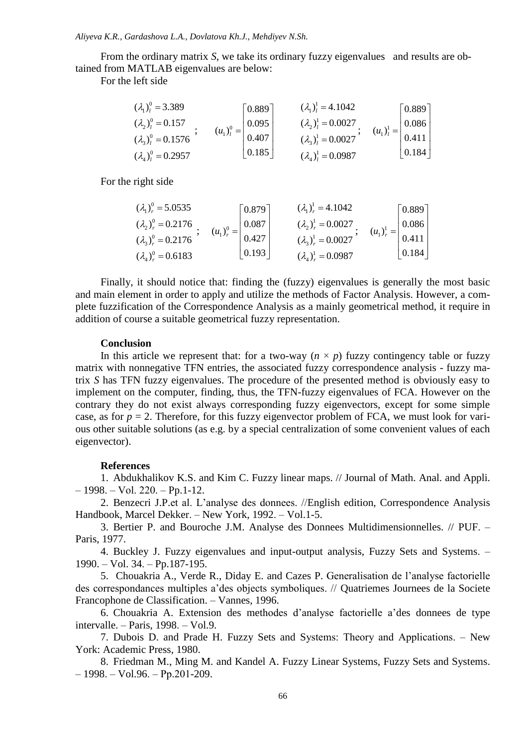From the ordinary matrix *S*, we take its ordinary fuzzy eigenvalues and results are obtained from MATLAB eigenvalues are below:

For the left side

$$
\begin{aligned}\n(\lambda_1)_l^0 &= 3.389 \\
(\lambda_2)_l^0 &= 0.157 \\
(\lambda_3)_l^0 &= 0.1576\n\end{aligned};\n\qquad\n\begin{aligned}\n(u_1)_l^0 &= \begin{bmatrix} 0.889 \\ 0.095 \\ 0.407 \\ 0.185 \end{bmatrix}\n\end{aligned}\n\qquad\n\begin{aligned}\n(\lambda_1)_l^1 &= 4.1042 \\
(\lambda_2)_l^1 &= 0.0027 \\
(\lambda_3)_l^1 &= 0.0027 \\
(\lambda_3)_l^1 &= 0.0027\n\end{aligned};\n\qquad\n\begin{aligned}\n(u_1)_l^1 &= \begin{bmatrix} 0.889 \\ 0.086 \\ 0.411 \\ 0.184 \end{bmatrix}\n\end{aligned}
$$

For the right side

$$
\begin{aligned}\n(\lambda_1)_r^0 &= 5.0535 \\
(\lambda_2)_r^0 &= 0.2176 \\
(\lambda_3)_r^0 &= 0.2176\n\end{aligned};\n\quad\n\begin{aligned}\n(u_1)_r^0 &= \begin{bmatrix} 0.879 \\ 0.087 \\ 0.427 \\ 0.193 \end{bmatrix} \\
(\lambda_1)_r^1 &= 0.0027 \\
(\lambda_2)_r^1 &= 0.0027 \\
(\lambda_3)_r^1 &= 0.0027\n\end{aligned};\n\quad\n\begin{aligned}\n(u_1)_r^1 &= \begin{bmatrix} 0.889 \\ 0.086 \\ 0.411 \\ 0.184 \end{bmatrix} \\
(\lambda_4)_r^0 &= 0.6183\n\end{aligned}
$$

Finally, it should notice that: finding the (fuzzy) eigenvalues is generally the most basic and main element in order to apply and utilize the methods of Factor Analysis. However, a complete fuzzification of the Correspondence Analysis as a mainly geometrical method, it require in addition of course a suitable geometrical fuzzy representation.

## **Conclusion**

In this article we represent that: for a two-way  $(n \times p)$  fuzzy contingency table or fuzzy matrix with nonnegative TFN entries, the associated fuzzy correspondence analysis - fuzzy matrix *S* has TFN fuzzy eigenvalues. The procedure of the presented method is obviously easy to implement on the computer, finding, thus, the TFN-fuzzy eigenvalues of FCA. However on the contrary they do not exist always corresponding fuzzy eigenvectors, except for some simple case, as for  $p = 2$ . Therefore, for this fuzzy eigenvector problem of FCA, we must look for various other suitable solutions (as e.g. by a special centralization of some convenient values of each eigenvector).

## **References**

1. Abdukhalikov K.S. and Kim C. Fuzzy linear maps. // Journal of Math. Anal. and Appli.  $-1998. - Vol. 220. - Pp.1-12.$ 

2. Benzecri J.P.et al. L'analyse des donnees. //English edition, Correspondence Analysis Handbook, Marcel Dekker. – New York, 1992. – Vol.1-5.

3. Bertier P. and Bouroche J.M. Analyse des Donnees Multidimensionnelles. // PUF. ‒ Paris, 1977.

4. Buckley J. Fuzzy eigenvalues and input-output analysis, Fuzzy Sets and Systems. – 1990. ‒ Vol. 34. ‒ Pp.187-195.

5. Chouakria A., Verde R., Diday E. and Cazes P. Generalisation de l'analyse factorielle des correspondances multiples a'des objects symboliques. // Quatriemes Journees de la Societe Francophone de Classification. – Vannes, 1996.

6. Chouakria A. Extension des methodes d'analyse factorielle a'des donnees de type intervalle.  $-$  Paris,  $1998. -$  Vol.9.

7. Dubois D. and Prade H. Fuzzy Sets and Systems: Theory and Applications. ‒ New York: Academic Press, 1980.

8. Friedman M., Ming M. and Kandel A. Fuzzy Linear Systems, Fuzzy Sets and Systems.  $-1998. - Vol.96. - Pp.201-209.$